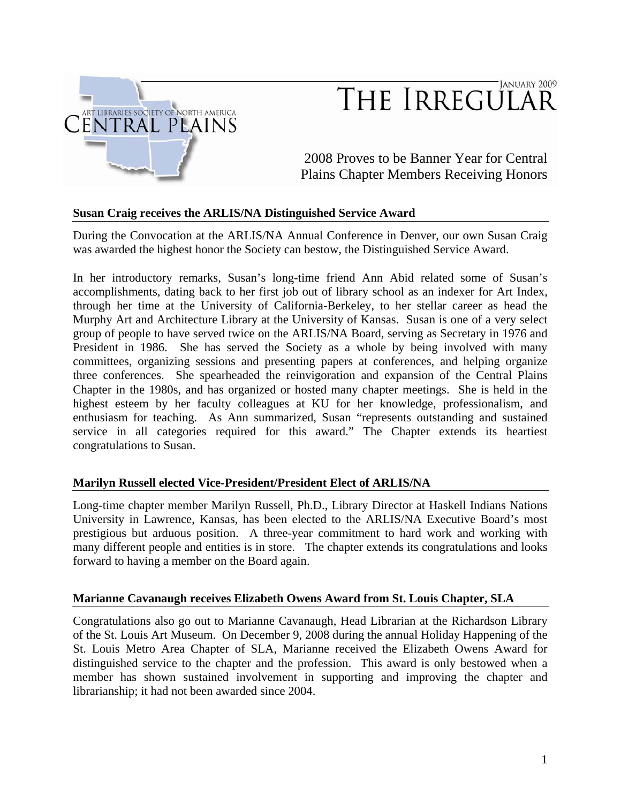

# JANUARY 2009 THE IRREGULAR

2008 Proves to be Banner Year for Central Plains Chapter Members Receiving Honors

# **Susan Craig receives the ARLIS/NA Distinguished Service Award**

During the Convocation at the ARLIS/NA Annual Conference in Denver, our own Susan Craig was awarded the highest honor the Society can bestow, the Distinguished Service Award.

In her introductory remarks, Susan's long-time friend Ann Abid related some of Susan's accomplishments, dating back to her first job out of library school as an indexer for Art Index, through her time at the University of California-Berkeley, to her stellar career as head the Murphy Art and Architecture Library at the University of Kansas. Susan is one of a very select group of people to have served twice on the ARLIS/NA Board, serving as Secretary in 1976 and President in 1986. She has served the Society as a whole by being involved with many committees, organizing sessions and presenting papers at conferences, and helping organize three conferences. She spearheaded the reinvigoration and expansion of the Central Plains Chapter in the 1980s, and has organized or hosted many chapter meetings. She is held in the highest esteem by her faculty colleagues at KU for her knowledge, professionalism, and enthusiasm for teaching. As Ann summarized, Susan "represents outstanding and sustained service in all categories required for this award." The Chapter extends its heartiest congratulations to Susan.

# **Marilyn Russell elected Vice-President/President Elect of ARLIS/NA**

Long-time chapter member Marilyn Russell, Ph.D., Library Director at Haskell Indians Nations University in Lawrence, Kansas, has been elected to the ARLIS/NA Executive Board's most prestigious but arduous position. A three-year commitment to hard work and working with many different people and entities is in store. The chapter extends its congratulations and looks forward to having a member on the Board again.

#### **Marianne Cavanaugh receives Elizabeth Owens Award from St. Louis Chapter, SLA**

Congratulations also go out to Marianne Cavanaugh, Head Librarian at the Richardson Library of the St. Louis Art Museum. On December 9, 2008 during the annual Holiday Happening of the St. Louis Metro Area Chapter of SLA, Marianne received the Elizabeth Owens Award for distinguished service to the chapter and the profession. This award is only bestowed when a member has shown sustained involvement in supporting and improving the chapter and librarianship; it had not been awarded since 2004.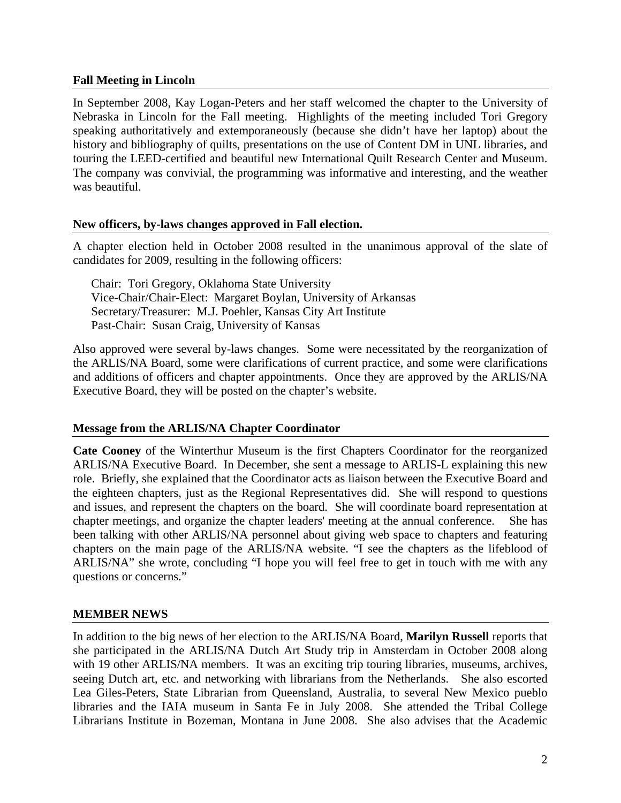# **Fall Meeting in Lincoln**

In September 2008, Kay Logan-Peters and her staff welcomed the chapter to the University of Nebraska in Lincoln for the Fall meeting. Highlights of the meeting included Tori Gregory speaking authoritatively and extemporaneously (because she didn't have her laptop) about the history and bibliography of quilts, presentations on the use of Content DM in UNL libraries, and touring the LEED-certified and beautiful new International Quilt Research Center and Museum. The company was convivial, the programming was informative and interesting, and the weather was beautiful.

# **New officers, by-laws changes approved in Fall election.**

A chapter election held in October 2008 resulted in the unanimous approval of the slate of candidates for 2009, resulting in the following officers:

Chair: Tori Gregory, Oklahoma State University Vice-Chair/Chair-Elect: Margaret Boylan, University of Arkansas Secretary/Treasurer: M.J. Poehler, Kansas City Art Institute Past-Chair: Susan Craig, University of Kansas

Also approved were several by-laws changes. Some were necessitated by the reorganization of the ARLIS/NA Board, some were clarifications of current practice, and some were clarifications and additions of officers and chapter appointments. Once they are approved by the ARLIS/NA Executive Board, they will be posted on the chapter's website.

# **Message from the ARLIS/NA Chapter Coordinator**

**Cate Cooney** of the Winterthur Museum is the first Chapters Coordinator for the reorganized ARLIS/NA Executive Board. In December, she sent a message to ARLIS-L explaining this new role. Briefly, she explained that the Coordinator acts as liaison between the Executive Board and the eighteen chapters, just as the Regional Representatives did. She will respond to questions and issues, and represent the chapters on the board. She will coordinate board representation at chapter meetings, and organize the chapter leaders' meeting at the annual conference. She has been talking with other ARLIS/NA personnel about giving web space to chapters and featuring chapters on the main page of the ARLIS/NA website. "I see the chapters as the lifeblood of ARLIS/NA" she wrote, concluding "I hope you will feel free to get in touch with me with any questions or concerns."

# **MEMBER NEWS**

In addition to the big news of her election to the ARLIS/NA Board, **Marilyn Russell** reports that she participated in the ARLIS/NA Dutch Art Study trip in Amsterdam in October 2008 along with 19 other ARLIS/NA members. It was an exciting trip touring libraries, museums, archives, seeing Dutch art, etc. and networking with librarians from the Netherlands. She also escorted Lea Giles-Peters, State Librarian from Queensland, Australia, to several New Mexico pueblo libraries and the IAIA museum in Santa Fe in July 2008. She attended the Tribal College Librarians Institute in Bozeman, Montana in June 2008. She also advises that the Academic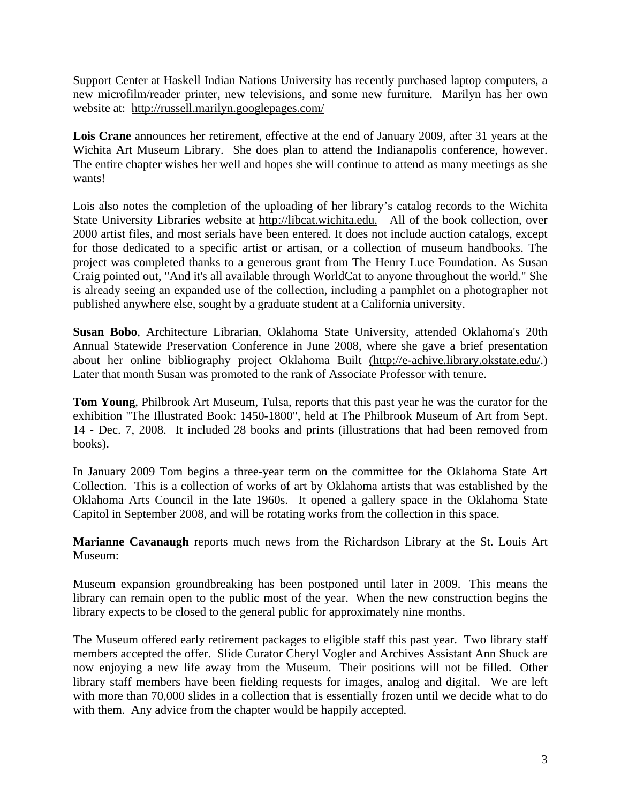Support Center at Haskell Indian Nations University has recently purchased laptop computers, a new microfilm/reader printer, new televisions, and some new furniture. Marilyn has her own website at: http://russell.marilyn.googlepages.com/

**Lois Crane** announces her retirement, effective at the end of January 2009, after 31 years at the Wichita Art Museum Library. She does plan to attend the Indianapolis conference, however. The entire chapter wishes her well and hopes she will continue to attend as many meetings as she wants!

Lois also notes the completion of the uploading of her library's catalog records to the Wichita State University Libraries website at http://libcat.wichita.edu. All of the book collection, over 2000 artist files, and most serials have been entered. It does not include auction catalogs, except for those dedicated to a specific artist or artisan, or a collection of museum handbooks. The project was completed thanks to a generous grant from The Henry Luce Foundation. As Susan Craig pointed out, "And it's all available through WorldCat to anyone throughout the world." She is already seeing an expanded use of the collection, including a pamphlet on a photographer not published anywhere else, sought by a graduate student at a California university.

**Susan Bobo**, Architecture Librarian, Oklahoma State University, attended Oklahoma's 20th Annual Statewide Preservation Conference in June 2008, where she gave a brief presentation about her online bibliography project Oklahoma Built (http://e-achive.library.okstate.edu/.) Later that month Susan was promoted to the rank of Associate Professor with tenure.

**Tom Young**, Philbrook Art Museum, Tulsa, reports that this past year he was the curator for the exhibition "The Illustrated Book: 1450-1800", held at The Philbrook Museum of Art from Sept. 14 - Dec. 7, 2008. It included 28 books and prints (illustrations that had been removed from books).

In January 2009 Tom begins a three-year term on the committee for the Oklahoma State Art Collection. This is a collection of works of art by Oklahoma artists that was established by the Oklahoma Arts Council in the late 1960s. It opened a gallery space in the Oklahoma State Capitol in September 2008, and will be rotating works from the collection in this space.

**Marianne Cavanaugh** reports much news from the Richardson Library at the St. Louis Art Museum:

Museum expansion groundbreaking has been postponed until later in 2009. This means the library can remain open to the public most of the year. When the new construction begins the library expects to be closed to the general public for approximately nine months.

The Museum offered early retirement packages to eligible staff this past year. Two library staff members accepted the offer. Slide Curator Cheryl Vogler and Archives Assistant Ann Shuck are now enjoying a new life away from the Museum. Their positions will not be filled. Other library staff members have been fielding requests for images, analog and digital. We are left with more than 70,000 slides in a collection that is essentially frozen until we decide what to do with them. Any advice from the chapter would be happily accepted.